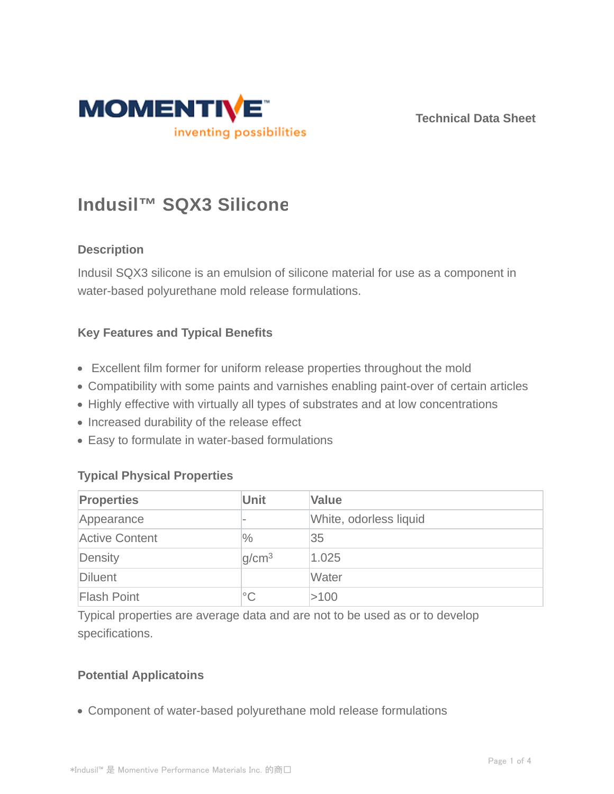

**Technical Data Sheet**

# **Indusil™ SQX3 Silicone**

# **Description**

Indusil SQX3 silicone is an emulsion of silicone material for use as a component in water-based polyurethane mold release formulations.

### **Key Features and Typical Benefits**

- Excellent film former for uniform release properties throughout the mold
- Compatibility with some paints and varnishes enabling paint-over of certain articles
- Highly effective with virtually all types of substrates and at low concentrations
- Increased durability of the release effect
- Easy to formulate in water-based formulations

# **Typical Physical Properties**

| <b>Properties</b>     | <b>Unit</b>       | <b>Value</b>           |
|-----------------------|-------------------|------------------------|
| Appearance            |                   | White, odorless liquid |
| <b>Active Content</b> | $\frac{0}{0}$     | 35                     |
| Density               | q/cm <sup>3</sup> | 1.025                  |
| Diluent               |                   | Water                  |
| <b>Flash Point</b>    | $^{\circ}$ C      | >100                   |

Typical properties are average data and are not to be used as or to develop specifications.

# **Potential Applicatoins**

Component of water-based polyurethane mold release formulations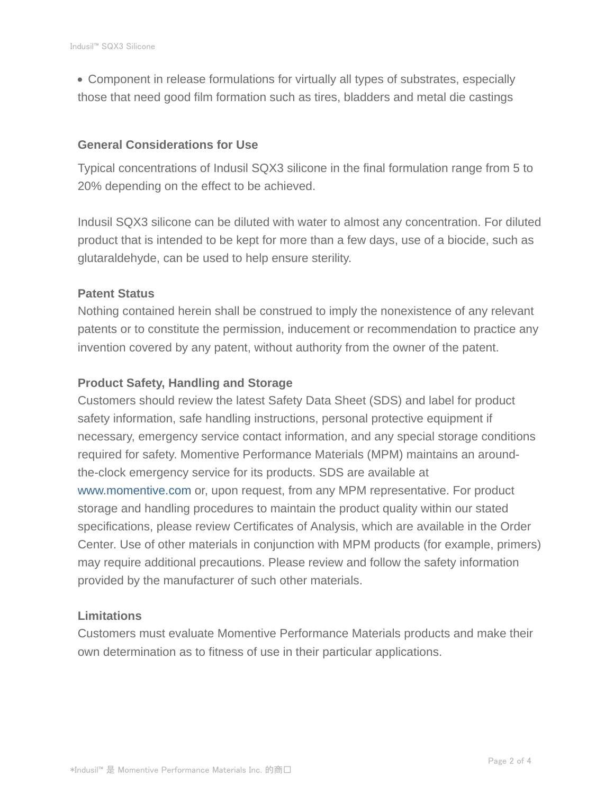Component in release formulations for virtually all types of substrates, especially those that need good film formation such as tires, bladders and metal die castings

#### **General Considerations for Use**

Typical concentrations of Indusil SQX3 silicone in the final formulation range from 5 to 20% depending on the effect to be achieved.

Indusil SQX3 silicone can be diluted with water to almost any concentration. For diluted product that is intended to be kept for more than a few days, use of a biocide, such as glutaraldehyde, can be used to help ensure sterility.

#### **Patent Status**

Nothing contained herein shall be construed to imply the nonexistence of any relevant patents or to constitute the permission, inducement or recommendation to practice any invention covered by any patent, without authority from the owner of the patent.

#### **Product Safety, Handling and Storage**

Customers should review the latest Safety Data Sheet (SDS) and label for product safety information, safe handling instructions, personal protective equipment if necessary, emergency service contact information, and any special storage conditions required for safety. Momentive Performance Materials (MPM) maintains an aroundthe-clock emergency service for its products. SDS are available at www.momentive.com or, upon request, from any MPM representative. For product storage and handling procedures to maintain the product quality within our stated specifications, please review Certificates of Analysis, which are available in the Order Center. Use of other materials in conjunction with MPM products (for example, primers) may require additional precautions. Please review and follow the safety information provided by the manufacturer of such other materials.

#### **Limitations**

Customers must evaluate Momentive Performance Materials products and make their own determination as to fitness of use in their particular applications.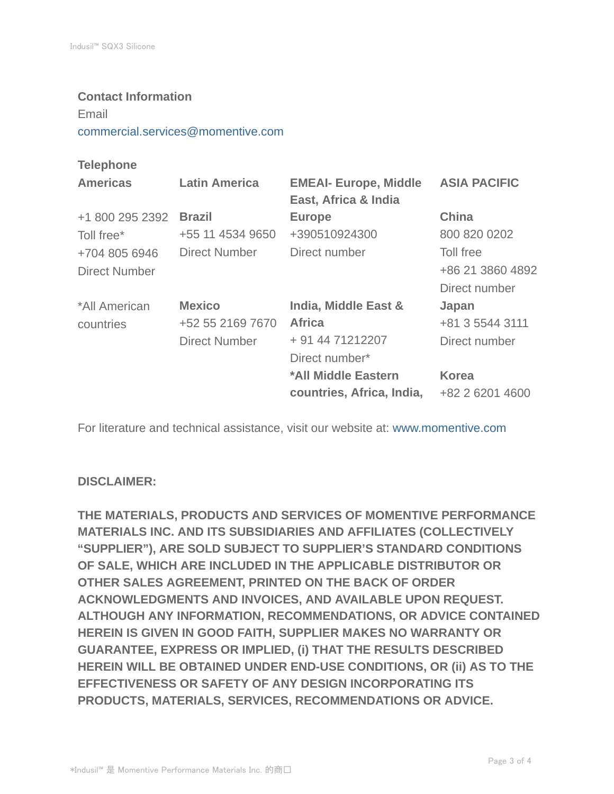#### **Contact Information**

Email

commercial.services@momentive.com

## **Telephone**

| <b>Americas</b> | <b>Latin America</b> | <b>EMEAI- Europe, Middle</b><br>East, Africa & India | <b>ASIA PACIFIC</b> |
|-----------------|----------------------|------------------------------------------------------|---------------------|
| +1 800 295 2392 | <b>Brazil</b>        | <b>Europe</b>                                        | <b>China</b>        |
| Toll free*      | +55 11 4534 9650     | +390510924300                                        | 800 820 0202        |
| +704 805 6946   | Direct Number        | Direct number                                        | Toll free           |
| Direct Number   |                      |                                                      | +86 21 3860 4892    |
|                 |                      |                                                      | Direct number       |
| *All American   | <b>Mexico</b>        | India, Middle East &                                 | Japan               |
| countries       | +52 55 2169 7670     | <b>Africa</b>                                        | +81 3 5544 3111     |
|                 | <b>Direct Number</b> | + 91 44 71212207                                     | Direct number       |
|                 |                      | Direct number*                                       |                     |
|                 |                      | *All Middle Eastern                                  | <b>Korea</b>        |
|                 |                      | countries, Africa, India,                            | +82 2 6201 4600     |

For literature and technical assistance, visit our website at: www.momentive.com

#### **DISCLAIMER:**

**THE MATERIALS, PRODUCTS AND SERVICES OF MOMENTIVE PERFORMANCE MATERIALS INC. AND ITS SUBSIDIARIES AND AFFILIATES (COLLECTIVELY "SUPPLIER"), ARE SOLD SUBJECT TO SUPPLIER'S STANDARD CONDITIONS OF SALE, WHICH ARE INCLUDED IN THE APPLICABLE DISTRIBUTOR OR OTHER SALES AGREEMENT, PRINTED ON THE BACK OF ORDER ACKNOWLEDGMENTS AND INVOICES, AND AVAILABLE UPON REQUEST. ALTHOUGH ANY INFORMATION, RECOMMENDATIONS, OR ADVICE CONTAINED HEREIN IS GIVEN IN GOOD FAITH, SUPPLIER MAKES NO WARRANTY OR GUARANTEE, EXPRESS OR IMPLIED, (i) THAT THE RESULTS DESCRIBED HEREIN WILL BE OBTAINED UNDER END-USE CONDITIONS, OR (ii) AS TO THE EFFECTIVENESS OR SAFETY OF ANY DESIGN INCORPORATING ITS PRODUCTS, MATERIALS, SERVICES, RECOMMENDATIONS OR ADVICE.**